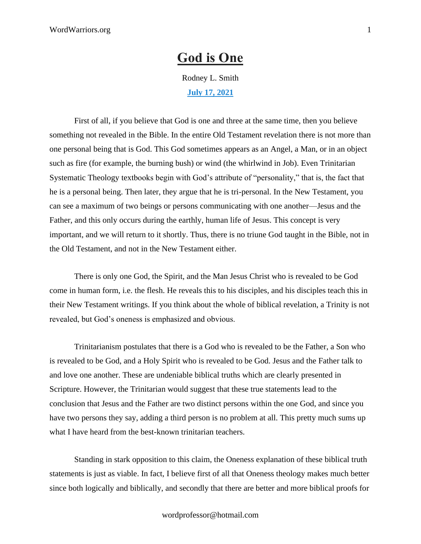## **[God](https://discipleinthelight.wordpress.com/2021/07/17/god-is-one/) is One**

Rodney L. Smith **July 17, [2021](https://discipleinthelight.wordpress.com/2021/07/17/god-is-one/)**

First of all, if you believe that God is one and three at the same time, then you believe something not revealed in the Bible. In the entire Old Testament revelation there is not more than one personal being that is God. This God sometimes appears as an Angel, a Man, or in an object such as fire (for example, the burning bush) or wind (the whirlwind in Job). Even Trinitarian Systematic Theology textbooks begin with God's attribute of "personality," that is, the fact that he is a personal being. Then later, they argue that he is tri-personal. In the New Testament, you can see a maximum of two beings or persons communicating with one another—Jesus and the Father, and this only occurs during the earthly, human life of Jesus. This concept is very important, and we will return to it shortly. Thus, there is no triune God taught in the Bible, not in the Old Testament, and not in the New Testament either.

There is only one God, the Spirit, and the Man Jesus Christ who is revealed to be God come in human form, i.e. the flesh. He reveals this to his disciples, and his disciples teach this in their New Testament writings. If you think about the whole of biblical revelation, a Trinity is not revealed, but God's oneness is emphasized and obvious.

Trinitarianism postulates that there is a God who is revealed to be the Father, a Son who is revealed to be God, and a Holy Spirit who is revealed to be God. Jesus and the Father talk to and love one another. These are undeniable biblical truths which are clearly presented in Scripture. However, the Trinitarian would suggest that these true statements lead to the conclusion that Jesus and the Father are two distinct persons within the one God, and since you have two persons they say, adding a third person is no problem at all. This pretty much sums up what I have heard from the best-known trinitarian teachers.

Standing in stark opposition to this claim, the Oneness explanation of these biblical truth statements is just as viable. In fact, I believe first of all that Oneness theology makes much better since both logically and biblically, and secondly that there are better and more biblical proofs for

wordprofessor@hotmail.com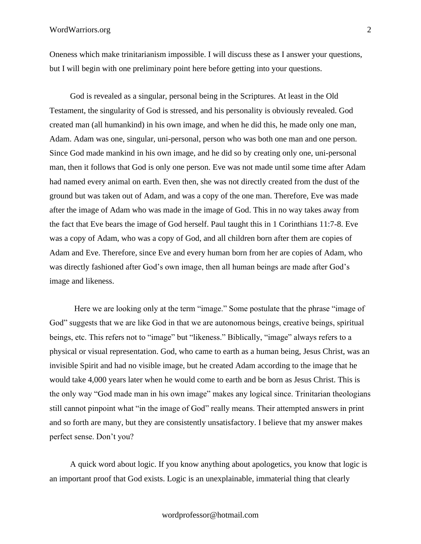Oneness which make trinitarianism impossible. I will discuss these as I answer your questions, but I will begin with one preliminary point here before getting into your questions.

 God is revealed as a singular, personal being in the Scriptures. At least in the Old Testament, the singularity of God is stressed, and his personality is obviously revealed. God created man (all humankind) in his own image, and when he did this, he made only one man, Adam. Adam was one, singular, uni-personal, person who was both one man and one person. Since God made mankind in his own image, and he did so by creating only one, uni-personal man, then it follows that God is only one person. Eve was not made until some time after Adam had named every animal on earth. Even then, she was not directly created from the dust of the ground but was taken out of Adam, and was a copy of the one man. Therefore, Eve was made after the image of Adam who was made in the image of God. This in no way takes away from the fact that Eve bears the image of God herself. Paul taught this in 1 Corinthians 11:7-8. Eve was a copy of Adam, who was a copy of God, and all children born after them are copies of Adam and Eve. Therefore, since Eve and every human born from her are copies of Adam, who was directly fashioned after God's own image, then all human beings are made after God's image and likeness.

Here we are looking only at the term "image." Some postulate that the phrase "image of God" suggests that we are like God in that we are autonomous beings, creative beings, spiritual beings, etc. This refers not to "image" but "likeness." Biblically, "image" always refers to a physical or visual representation. God, who came to earth as a human being, Jesus Christ, was an invisible Spirit and had no visible image, but he created Adam according to the image that he would take 4,000 years later when he would come to earth and be born as Jesus Christ. This is the only way "God made man in his own image" makes any logical since. Trinitarian theologians still cannot pinpoint what "in the image of God" really means. Their attempted answers in print and so forth are many, but they are consistently unsatisfactory. I believe that my answer makes perfect sense. Don't you?

 A quick word about logic. If you know anything about apologetics, you know that logic is an important proof that God exists. Logic is an unexplainable, immaterial thing that clearly